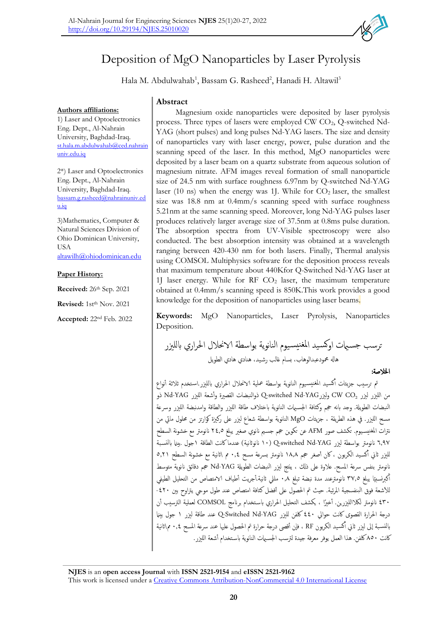

# Deposition of MgO Nanoparticles by Laser Pyrolysis

Hala M. Abdulwahab<sup>1</sup>, Bassam G. Rasheed<sup>2</sup>, Hanadi H. Altawil<sup>3</sup>

**Authors affiliations:**

1) Laser and Optoelectronics Eng. Dept., Al-Nahrain University, Baghdad-Iraq. [st.hala.m.abdulwahab@ced.nahrain](mailto:st.hala.m.abdulwahab@ced.nahrainuniv.edu.iq) [univ.edu.iq](mailto:st.hala.m.abdulwahab@ced.nahrainuniv.edu.iq)

2\*) Laser and Optoelectronics Eng. Dept., Al-Nahrain University, Baghdad-Iraq. [bassam.g.rasheed@nahrainuniv.ed](mailto:bassam.g.rasheed@nahrainuniv.edu.iq) [u.iq](mailto:bassam.g.rasheed@nahrainuniv.edu.iq)

3)Mathematics, Computer & Natural Sciences Division of Ohio Dominican University, USA [altawilh@ohiodominican.edu](mailto:altawilh@ohiodominican.edu)

# **Paper History:**

**Received:** 26 th Sep. 2021

**Revised:** 1st<sup>th</sup> Nov. 2021

**Accepted:** 22nd Feb. 2022

# **Abstract**

Magnesium oxide nanoparticles were deposited by laser pyrolysis process. Three types of lasers were employed CW  $CO<sub>2</sub>$ , Q-switched Nd-YAG (short pulses) and long pulses Nd-YAG lasers. The size and density of nanoparticles vary with laser energy, power, pulse duration and the scanning speed of the laser. In this method, MgO nanoparticles were deposited by a laser beam on a quartz substrate from aqueous solution of magnesium nitrate. AFM images reveal formation of small nanoparticle size of 24.5 nm with surface roughness 6.97nm by Q-switched Nd-YAG laser (10 ns) when the energy was 1J. While for  $CO<sub>2</sub>$  laser, the smallest size was 18.8 nm at 0.4mm/s scanning speed with surface roughness 5.21nm at the same scanning speed. Moreover, long Nd-YAG pulses laser produces relatively larger average size of 37.5nm at 0.8ms pulse duration. The absorption spectra from UV-Visible spectroscopy were also conducted. The best absorption intensity was obtained at a wavelength ranging between 420-430 nm for both lasers. Finally, Thermal analysis using COMSOL Multiphysics software for the deposition process reveals that maximum temperature about 440Kfor Q-Switched Nd-YAG laser at 1J laser energy. While for RF  $CO<sub>2</sub>$  laser, the maximum temperature obtained at 0.4mm/s scanning speed is 850K.This work provides a good knowledge for the deposition of nanoparticles using laser beams.

**Keywords:** MgO Nanoparticles, Laser Pyrolysis, Nanoparticles Deposition.

ترسب جس اميت اوكس يد املغنيس يوم النانوية بواسطة الاحنالل احلراري ابللزير هاهل محمودعبدالوهاب، بسام غالب رش يد، هنادي هادي الطويل

اخلالصة:

تم ترسيب جزيئات أكسيد المغنيسيوم النانوية بواسطة عملية الانحلال الحراري بالليزر استخدم ثلاثة أنواع من الليزر ليزر CW CO<sub>2</sub> وليزر Q-switched Nd-YAG ذو النبضات القصيرة وأشعة الليزر Nd-YAG ذو النبضات الطويلة. وجد بانه حجم وكثافة الجسيهات النانوية باختلاف طاقة الليزر والطاقة وامدنبضة الليزر وسرعة مسح اللزير. يف هذه الطريقة ، جزيئات MgO النانوية بواسطة شعاع لزير عىل ركزية كوارتز من حملول مايئ من نترات المغنيسـيوم. تكشف صور AFM عن تكوين حجم جسـيم نانوي صغير يبلغ ٢٤٫٥ نانومتر مع خشونة السطح ٦,٩٧ نانومتر بواسطة ليزر Q-switched Nd-YAG (١٠ نانوثانية) عندما كانت الطاقة ١جول .بينما بالنسبة لليزر ثاني أكسـيد الكربون ، كان أصغر حجم ١٨٫٨ نانومتر بسرعة مسح ٠,٤ م \ثانية مع خشونة السطح ٥,٢١ أم نانومتر بنفس سرعة المسح. علاوة على ذلك ، ينتج ليزر النبضات الطويلة Nd-YAG حجم دقائق نانوية متوسط ا ً كربنسبي أ يبلغ 37.5 اننومرتعند مدة نبضة تبلغ 0.8 مليل اثنية. أجريت أطياف الامتصاص من التحليل الطيفي  $\ddot{\phantom{0}}$ للأشعة فوق البنفسجية المرئية. حيث تم الحصول على أفضل كثافة امتصاص عند طول موجى يتراوح بين ٤٢٠-430 اننومرت لالكاللزيرين. أخ ًريا ، يكشف التحليل احلراري ابس تخدام برانمج COMSOL لعملية الرتسيب أن درجة الحرارة القصوى كانت حوالي ٤٤٠ كلفن لليزر Q-Switched Nd-YAG عند طاقة ليزر ١ جول بينما بالنسبة إلى ليزر ثاني أكسـيد الكربون RF ، فإن أقصى درجة حرارة تم الحصول عليها عند سرعة المسح ٠,٤ مم\ثانية أم كانت ٨٥٠كلفن. هذا العمل يوفر معرفة جيدة لترسب الجسبهات النانوية باستخدام أشعة اللبزر .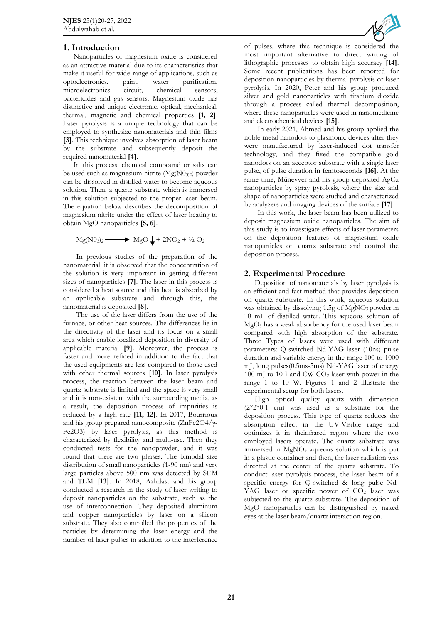## **1. Introduction**

Nanoparticles of magnesium oxide is considered as an attractive material due to its characteristics that make it useful for wide range of applications, such as optoelectronics, paint, water purification, microelectronics circuit, chemical sensors, bactericides and gas sensors. Magnesium oxide has distinctive and unique electronic, optical, mechanical, thermal, magnetic and chemical properties **[1, 2]**. Laser pyrolysis is a unique technology that can be employed to synthesize nanomaterials and thin films **[3]**. This technique involves absorption of laser beam by the substrate and subsequently deposit the required nanomaterial **[4]**.

In this process, chemical compound or salts can be used such as magnesium nitrite (Mg(N03)2) powder can be dissolved in distilled water to become aqueous solution. Then, a quartz substrate which is immersed in this solution subjected to the proper laser beam. The equation below describes the decomposition of magnesium nitrite under the effect of laser heating to obtain MgO nanoparticles **[5, 6]**.

$$
Mg(N0_3)_2 \longrightarrow MgO \downarrow + 2NO_2 + \frac{1}{2}O_2
$$

In previous studies of the preparation of the nanomaterial, it is observed that the concentration of the solution is very important in getting different sizes of nanoparticles **[7]**. The laser in this process is considered a heat source and this heat is absorbed by an applicable substrate and through this, the nanomaterial is deposited **[8]**.

The use of the laser differs from the use of the furnace, or other heat sources. The differences lie in the directivity of the laser and its focus on a small area which enable localized deposition in diversity of applicable material **[9]**. Moreover, the process is faster and more refined in addition to the fact that the used equipments are less compared to those used with other thermal sources **[10]**. In laser pyrolysis process, the reaction between the laser beam and quartz substrate is limited and the space is very small and it is non-existent with the surrounding media, as a result, the deposition process of impurities is reduced by a high rate **[11, 12]**. In 2017, Bourrioux and his group prepared nanocomposite (ZnFe2O4/γ-Fe2O3) by laser pyrolysis, as this method is characterized by flexibility and multi-use. Then they conducted tests for the nanopowder, and it was found that there are two phases. The bimodal size distribution of small nanoparticles (1-90 nm) and very large particles above 500 nm was detected by SEM and TEM **[13]**. In 2018, Azhdast and his group conducted a research in the study of laser writing to deposit nanoparticles on the substrate, such as the use of interconnection. They deposited aluminum and copper nanoparticles by laser on a silicon substrate. They also controlled the properties of the particles by determining the laser energy and the number of laser pulses in addition to the interference



of pulses, where this technique is considered the most important alternative to direct writing of lithographic processes to obtain high accuracy **[14]**. Some recent publications has been reported for deposition nanoparticles by thermal pyrolysis or laser pyrolysis. In 2020, Peter and his group produced silver and gold nanoparticles with titanium dioxide through a process called thermal decomposition, where these nanoparticles were used in nanomedicine and electrochemical devices **[15]**.

In early 2021, Ahmed and his group applied the noble metal nanodots to plasmonic devices after they were manufactured by laser-induced dot transfer technology, and they fixed the compatible gold nanodots on an acceptor substrate with a single laser pulse, of pulse duration in femtoseconds **[16]**. At the same time, Münevver and his group deposited AgCu nanoparticles by spray pyrolysis, where the size and shape of nanoparticles were studied and characterized by analyzers and imaging devices of the surface **[17]**.

In this work, the laser beam has been utilized to deposit magnesium oxide nanoparticles. The aim of this study is to investigate effects of laser parameters on the deposition features of magnesium oxide nanoparticles on quartz substrate and control the deposition process.

# **2. Experimental Procedure**

Deposition of nanomaterials by laser pyrolysis is an efficient and fast method that provides deposition on quartz substrate. In this work, aqueous solution was obtained by dissolving 1.5g of MgNO<sub>3</sub> powder in 10 mL of distilled water. This aqueous solution of MgO<sup>3</sup> has a weak absorbency for the used laser beam compared with high absorption of the substrate. Three Types of lasers were used with different parameters: Q-switched Nd-YAG laser (10ns) pulse duration and variable energy in the range 100 to 1000 mJ, long pulses(0.5ms-5ms) Nd-YAG laser of energy 100 mJ to 10 J and CW CO<sub>2</sub> laser with power in the range 1 to 10 W. Figures 1 and 2 illustrate the experimental setup for both lasers.

High optical quality quartz with dimension (2\*2\*0.1 cm) was used as a substrate for the deposition process. This type of quartz reduces the absorption effect in the UV-Visible range and optimizes it in theinfrared region where the two employed lasers operate. The quartz substrate was immersed in  $MgNO<sub>3</sub>$  aqueous solution which is put in a plastic container and then, the laser radiation was directed at the center of the quartz substrate. To conduct laser pyrolysis process, the laser beam of a specific energy for Q-switched & long pulse Nd-YAG laser or specific power of CO<sub>2</sub> laser was subjected to the quartz substrate. The deposition of MgO nanoparticles can be distinguished by naked eyes at the laser beam/quartz interaction region.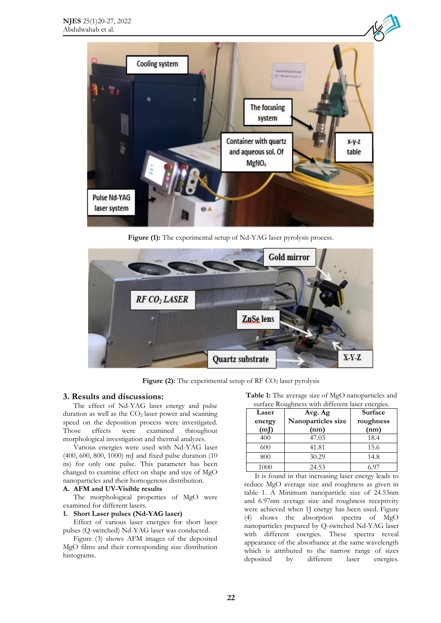

Figure (1): The experimental setup of Nd-YAG laser pyrolysis process.



**Figure (2):** The experimental setup of RF CO<sub>2</sub> laser pyrolysis

### **3. Results and discussions:**

The effect of Nd-YAG laser energy and pulse duration as well as the  $CO<sub>2</sub>$  laser power and scanning speed on the deposition process were investigated.<br>Those effects were examined throughout Those effects were examined throughout morphological investigation and thermal analyzes.

Various energies were used with Nd-YAG laser (400, 600, 800, 1000) mJ and fixed pulse duration (10 ns) for only one pulse. This parameter has been changed to examine effect on shape and size of MgO nanoparticles and their homogenous distribution.

# **A. AFM and UV-Visible results**

The morphological properties of MgO were examined for different lasers.

#### **1. Short Laser pulses (Nd-YAG laser)**

Effect of various laser energies for short laser pulses (Q-switched) Nd-YAG laser was conducted.

Figure (3) shows AFM images of the deposited MgO films and their corresponding size distribution histograms.

**Table 1:** The average size of MgO nanoparticles and surface Roughness with different laser energies.

| Laser  | Avg. Ag            | <b>Surface</b> |  |
|--------|--------------------|----------------|--|
| energy | Nanoparticles size | roughness      |  |
| (mJ)   | (nm)               | (nm)           |  |
| 400    | 47.03              | 18.4           |  |
| 600    | 41.81              | 15.6           |  |
| 800    | 30.29              | 14.8           |  |
| 1000   | 24.53              | ና 07           |  |

It is found in that increasing laser energy leads to reduce MgO average size and roughness as given in table 1. A Minimum nanoparticle size of 24.53nm and 6.97nm average size and roughness receptivity were achieved when 1J energy has been used. Figure (4) shows the absorption spectra of MgO nanoparticles prepared by Q-switched Nd-YAG laser with different energies. These spectra reveal appearance of the absorbance at the same wavelength which is attributed to the narrow range of sizes deposited by different laser energies.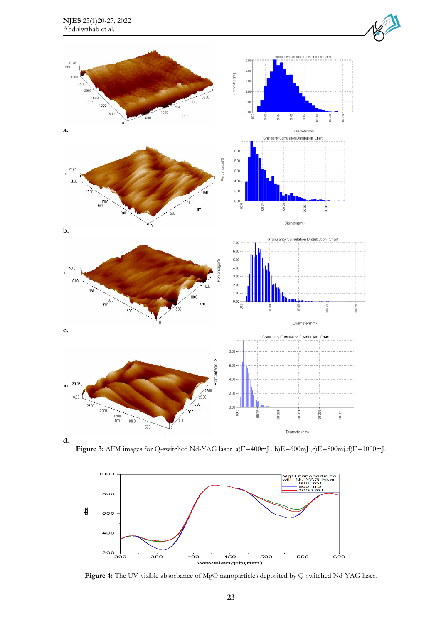

Figure 3: AFM images for Q-switched Nd-YAG laser a)E=400mJ, b)E=600mJ,c)E=800mj,d)E=1000mJ.



**Figure 4:** The UV-visible absorbance of MgO nanoparticles deposited by Q-switched Nd-YAG laser.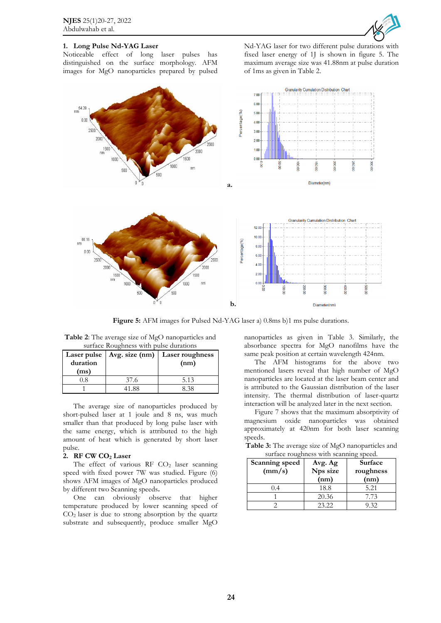

# **1. Long Pulse Nd-YAG Laser**

Noticeable effect of long laser pulses has distinguished on the surface morphology. AFM images for MgO nanoparticles prepared by pulsed Nd-YAG laser for two different pulse durations with fixed laser energy of 1J is shown in figure 5. The maximum average size was 41.88nm at pulse duration of 1ms as given in Table 2.



**Figure 5:** AFM images for Pulsed Nd-YAG laser a) 0.8ms b)1 ms pulse durations.

**Table 2**: The average size of MgO nanoparticles and surface Roughness with pulse durations

| duration<br>(ms) | Laser pulse   $Avg. size (nm)$ | Laser roughness<br>(nm) |
|------------------|--------------------------------|-------------------------|
| $^{(1.8)}$       | 37.6                           | 5.13                    |
|                  | 41.88                          | 8 38                    |

The average size of nanoparticles produced by short-pulsed laser at 1 joule and 8 ns, was much smaller than that produced by long pulse laser with the same energy, which is attributed to the high amount of heat which is generated by short laser pulse.

#### **2. RF CW CO<sup>2</sup> Laser**

The effect of various RF  $CO<sub>2</sub>$  laser scanning speed with fixed power 7W was studied. Figure (6) shows AFM images of MgO nanoparticles produced by different two Scanning speeds**.**

One can obviously observe that higher temperature produced by lower scanning speed of  $CO<sub>2</sub>$  laser is due to strong absorption by the quartz substrate and subsequently, produce smaller MgO

nanoparticles as given in Table 3. Similarly, the absorbance spectra for MgO nanofilms have the same peak position at certain wavelength 424nm.

The AFM histograms for the above two mentioned lasers reveal that high number of MgO nanoparticles are located at the laser beam center and is attributed to the Gaussian distribution of the laser intensity. The thermal distribution of laser-quartz interaction will be analyzed later in the next section.

Figure 7 shows that the maximum absorptivity of magnesium oxide nanoparticles was obtained approximately at 420nm for both laser scanning speeds.

**Table 3:** The average size of MgO nanoparticles and surface roughness with scanning speed.

| Scanning speed<br>$\text{(mm/s)}$ | Avg. Ag<br>Nps size<br>(nm) | <b>Surface</b><br>roughness<br>(nm) |
|-----------------------------------|-----------------------------|-------------------------------------|
|                                   | 18.8                        | 5.21                                |
|                                   | 20.36                       | 7.73                                |
|                                   | 23.22                       | 9.32                                |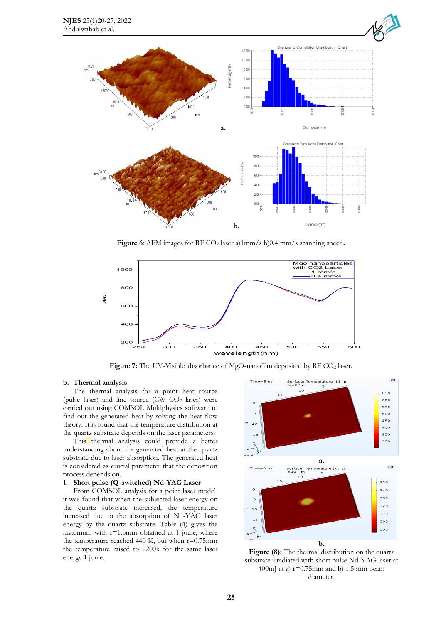

**Figure 6**: AFM images for RF CO<sub>2</sub> laser a)1mm/s b)0.4 mm/s scanning speed.



Figure 7: The UV-Visible absorbance of MgO-nanofilm deposited by RF CO<sub>2</sub> laser.

#### **b. Thermal analysis**

The thermal analysis for a point heat source (pulse laser) and line source (CW  $CO<sub>2</sub>$  laser) were carried out using COMSOL Multiphysics software to find out the generated heat by solving the heat flow theory. It is found that the temperature distribution at the quartz substrate depends on the laser parameters.

This thermal analysis could provide a better understanding about the generated heat at the quartz substrate due to laser absorption. The generated heat is considered as crucial parameter that the deposition process depends on.

#### **1. Short pulse (Q-switched) Nd-YAG Laser**

From COMSOL analysis for a point laser model, it was found that when the subjected laser energy on the quartz substrate increased, the temperature increased due to the absorption of Nd-YAG laser energy by the quartz substrate. Table (4) gives the maximum with  $r=1.5$ mm obtained at 1 joule, where the temperature reached 440 K, but when  $r=0.75$ mm the temperature raised to 1200k for the same laser energy 1 joule.



**Figure (8):** The thermal distribution on the quartz substrate irradiated with short pulse Nd-YAG laser at 400mJ at a)  $r=0.75$ mm and b) 1.5 mm beam diameter.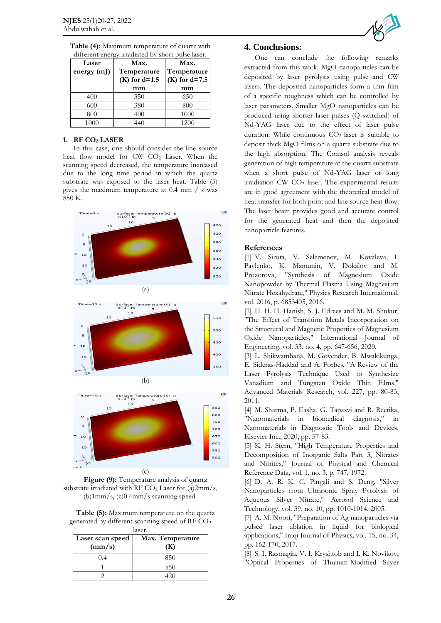| Laser<br>energy $(mJ)$ | unierent energy madiated by short pulse laser.<br>Max.<br>Max.<br>Temperature<br>Temperature |                       |
|------------------------|----------------------------------------------------------------------------------------------|-----------------------|
|                        | $(K)$ for d=1.5<br>mm                                                                        | $(K)$ for d=7.5<br>mm |
| 400                    | 350                                                                                          | 650                   |
| 600                    | 380                                                                                          | 800                   |
| 800                    | 400                                                                                          | 1000                  |
| 1000                   | 440                                                                                          | 1200                  |

**Table (4):** Maximum temperature of quartz with different energy irradiated by short pulse laser.

#### **1. RF CO<sup>2</sup> LASER**

In this case, one should consider the line source heat flow model for  $CW$   $CO<sub>2</sub>$  Laser. When the scanning speed decreased, the temperature increased due to the long time period in which the quartz substrate was exposed to the laser heat. Table (5) gives the maximum temperature at 0.4 mm / s was 850 K.







**Table (5):** Maximum temperature on the quartz generated by different scanning speed of RF CO<sup>2</sup>

| laser.           |                  |  |
|------------------|------------------|--|
| Laser scan speed | Max. Temperature |  |
| (mm/s)           | (K)              |  |
|                  | 850              |  |
|                  | 550              |  |
|                  |                  |  |



## **4. Conclusions:**

One can conclude the following remarks extracted from this work. MgO nanoparticles can be deposited by laser pyrolysis using pulse and CW lasers. The deposited nanoparticles form a thin film of a specific roughness which can be controlled by laser parameters. Smaller MgO nanoparticles can be produced using shorter laser pulses (Q-switched) of Nd-YAG laser due to the effect of laser pulse duration. While continuous  $CO<sub>2</sub>$  laser is suitable to deposit thick MgO films on a quartz substrate due to the high absorption. The Comsol analysis reveals generation of high temperature at the quartz substrate when a short pulse of Nd-YAG laser or long irradiation  $CW CO<sub>2</sub>$  laser. The experimental results are in good agreement with the theoretical model of heat transfer for both point and line source heat flow. The laser beam provides good and accurate control for the generated heat and then the deposited nanoparticle features.

## **References**

[1] V. Sirota, V. Selemenev, M. Kovaleva, I. Pavlenko, K. Mamunin, V. Dokalov and M. Prozorova, "Synthesis of Magnesium Oxide Nanopowder by Thermal Plasma Using Magnesium Nitrate Hexahydrate," Physics Research International, vol. 2016, p. 6853405, 2016.

[2] H. H. H. Hanish, S. J. Edrees and M. M. Shukur, "The Effect of Transition Metals Incorporation on the Structural and Magnetic Properties of Magnesium Oxide Nanoparticles," International Journal of Engineering, vol. 33, no. 4, pp. 647-656, 2020.

[3] L. Shikwambana, M. Govender, B. Mwakikunga, E. Sideras-Haddad and A. Forbes, "A Review of the Laser Pyrolysis Technique Used to Synthesize Vanadium and Tungsten Oxide Thin Films," Advanced Materials Research, vol. 227, pp. 80-83, 2011.

[4] M. Sharma, P. Easha, G. Tapasvi and R. Reetika, "Nanomaterials in biomedical diagnosis," in Nanomaterials in Diagnostic Tools and Devices, Elsevier Inc., 2020, pp. 57-83.

[5] K. H. Stern, "High Temperature Properties and Decomposition of Inorganic Salts Part 3, Nitrates and Nitrites," Journal of Physical and Chemical Reference Data, vol. 1, no. 3, p. 747, 1972.

[6] D. A. R. K. C. Pingali and S. Deng, "Silver Nanoparticles from Ultrasonic Spray Pyrolysis of Aqueous Silver Nitrate," Aerosol Science and Technology, vol. 39, no. 10, pp. 1010-1014, 2005.

[7] A. M. Noori, "Preparation of Ag nanoparticles via pulsed laser ablation in liquid for biological applications," Iraqi Journal of Physics, vol. 15, no. 34, pp. 162-170, 2017.

[8] S. I. Rasmagin, V. I. Kryshtob and I. K. Novikov, "Optical Properties of Thulium-Modified Silver